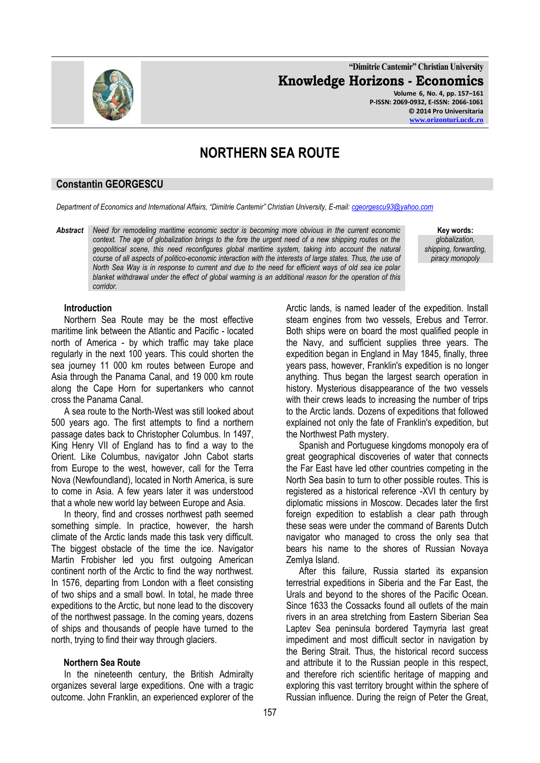**"Dimitrie Cantemir" Christian University Knowledge Horizons - Economics Volume 6, No. 4, pp. 157–161 P-ISSN: 2069-0932, E-ISSN: 2066-1061**

**© 2014 Pro Universitaria [www.orizonturi.ucdc.ro](http://www.orizonturi.ucdc.ro/)**

# **NORTHERN SEA ROUTE**

## **Constantin GEORGESCU**

*Department of Economics and International Affairs, "Dimitrie Cantemir" Christian University, E-mail: [cgeorgescu93@yahoo.com](mailto:cgeorgescu93@yahoo.com)*

*Abstract Need for remodeling maritime economic sector is becoming more obvious in the current economic context. The age of globalization brings to the fore the urgent need of a new shipping routes on the geopolitical scene, this need reconfigures global maritime system, taking into account the natural course of all aspects of politico-economic interaction with the interests of large states. Thus, the use of North Sea Way is in response to current and due to the need for efficient ways of old sea ice polar blanket withdrawal under the effect of global warming is an additional reason for the operation of this corridor.*

**Key words:** *globalization, shipping, forwarding, piracy monopoly*

## **Introduction**

Northern Sea Route may be the most effective maritime link between the Atlantic and Pacific - located north of America - by which traffic may take place regularly in the next 100 years. This could shorten the sea journey 11 000 km routes between Europe and Asia through the Panama Canal, and 19 000 km route along the Cape Horn for supertankers who cannot cross the Panama Canal.

A sea route to the North-West was still looked about 500 years ago. The first attempts to find a northern passage dates back to Christopher Columbus. In 1497, King Henry VII of England has to find a way to the Orient. Like Columbus, navigator John Cabot starts from Europe to the west, however, call for the Terra Nova (Newfoundland), located in North America, is sure to come in Asia. A few years later it was understood that a whole new world lay between Europe and Asia.

In theory, find and crosses northwest path seemed something simple. In practice, however, the harsh climate of the Arctic lands made this task very difficult. The biggest obstacle of the time the ice. Navigator Martin Frobisher led you first outgoing American continent north of the Arctic to find the way northwest. In 1576, departing from London with a fleet consisting of two ships and a small bowl. In total, he made three expeditions to the Arctic, but none lead to the discovery of the northwest passage. In the coming years, dozens of ships and thousands of people have turned to the north, trying to find their way through glaciers.

#### **Northern Sea Route**

In the nineteenth century, the British Admiralty organizes several large expeditions. One with a tragic outcome. John Franklin, an experienced explorer of the

Arctic lands, is named leader of the expedition. Install steam engines from two vessels, Erebus and Terror. Both ships were on board the most qualified people in the Navy, and sufficient supplies three years. The expedition began in England in May 1845, finally, three years pass, however, Franklin's expedition is no longer anything. Thus began the largest search operation in history. Mysterious disappearance of the two vessels with their crews leads to increasing the number of trips to the Arctic lands. Dozens of expeditions that followed explained not only the fate of Franklin's expedition, but the Northwest Path mystery.

Spanish and Portuguese kingdoms monopoly era of great geographical discoveries of water that connects the Far East have led other countries competing in the North Sea basin to turn to other possible routes. This is registered as a historical reference -XVI th century by diplomatic missions in Moscow. Decades later the first foreign expedition to establish a clear path through these seas were under the command of Barents Dutch navigator who managed to cross the only sea that bears his name to the shores of Russian Novaya Zemlya Island.

After this failure, Russia started its expansion terrestrial expeditions in Siberia and the Far East, the Urals and beyond to the shores of the Pacific Ocean. Since 1633 the Cossacks found all outlets of the main rivers in an area stretching from Eastern Siberian Sea Laptev Sea peninsula bordered Taymyria last great impediment and most difficult sector in navigation by the Bering Strait. Thus, the historical record success and attribute it to the Russian people in this respect, and therefore rich scientific heritage of mapping and exploring this vast territory brought within the sphere of Russian influence. During the reign of Peter the Great,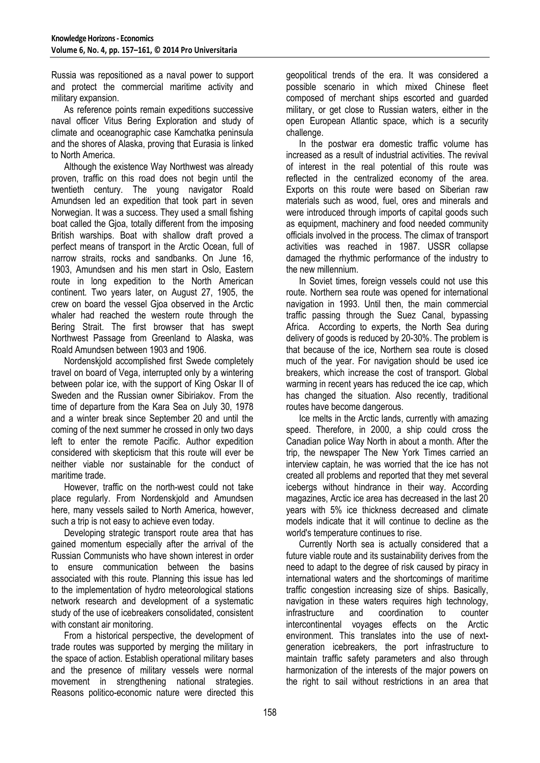Russia was repositioned as a naval power to support and protect the commercial maritime activity and military expansion.

As reference points remain expeditions successive naval officer Vitus Bering Exploration and study of climate and oceanographic case Kamchatka peninsula and the shores of Alaska, proving that Eurasia is linked to North America.

Although the existence Way Northwest was already proven, traffic on this road does not begin until the twentieth century. The young navigator Roald Amundsen led an expedition that took part in seven Norwegian. It was a success. They used a small fishing boat called the Gjoa, totally different from the imposing British warships. Boat with shallow draft proved a perfect means of transport in the Arctic Ocean, full of narrow straits, rocks and sandbanks. On June 16, 1903, Amundsen and his men start in Oslo, Eastern route in long expedition to the North American continent. Two years later, on August 27, 1905, the crew on board the vessel Gjoa observed in the Arctic whaler had reached the western route through the Bering Strait. The first browser that has swept Northwest Passage from Greenland to Alaska, was Roald Amundsen between 1903 and 1906.

Nordenskjold accomplished first Swede completely travel on board of Vega, interrupted only by a wintering between polar ice, with the support of King Oskar II of Sweden and the Russian owner Sibiriakov. From the time of departure from the Kara Sea on July 30, 1978 and a winter break since September 20 and until the coming of the next summer he crossed in only two days left to enter the remote Pacific. Author expedition considered with skepticism that this route will ever be neither viable nor sustainable for the conduct of maritime trade.

However, traffic on the north-west could not take place regularly. From Nordenskjold and Amundsen here, many vessels sailed to North America, however, such a trip is not easy to achieve even today.

Developing strategic transport route area that has gained momentum especially after the arrival of the Russian Communists who have shown interest in order to ensure communication between the basins associated with this route. Planning this issue has led to the implementation of hydro meteorological stations network research and development of a systematic study of the use of icebreakers consolidated, consistent with constant air monitoring.

From a historical perspective, the development of trade routes was supported by merging the military in the space of action. Establish operational military bases and the presence of military vessels were normal movement in strengthening national strategies. Reasons politico-economic nature were directed this

geopolitical trends of the era. It was considered a possible scenario in which mixed Chinese fleet composed of merchant ships escorted and guarded military, or get close to Russian waters, either in the open European Atlantic space, which is a security challenge.

In the postwar era domestic traffic volume has increased as a result of industrial activities. The revival of interest in the real potential of this route was reflected in the centralized economy of the area. Exports on this route were based on Siberian raw materials such as wood, fuel, ores and minerals and were introduced through imports of capital goods such as equipment, machinery and food needed community officials involved in the process. The climax of transport activities was reached in 1987. USSR collapse damaged the rhythmic performance of the industry to the new millennium.

In Soviet times, foreign vessels could not use this route. Northern sea route was opened for international navigation in 1993. Until then, the main commercial traffic passing through the Suez Canal, bypassing Africa. According to experts, the North Sea during delivery of goods is reduced by 20-30%. The problem is that because of the ice, Northern sea route is closed much of the year. For navigation should be used ice breakers, which increase the cost of transport. Global warming in recent years has reduced the ice cap, which has changed the situation. Also recently, traditional routes have become dangerous.

Ice melts in the Arctic lands, currently with amazing speed. Therefore, in 2000, a ship could cross the Canadian police Way North in about a month. After the trip, the newspaper The New York Times carried an interview captain, he was worried that the ice has not created all problems and reported that they met several icebergs without hindrance in their way. According magazines, Arctic ice area has decreased in the last 20 years with 5% ice thickness decreased and climate models indicate that it will continue to decline as the world's temperature continues to rise.

Currently North sea is actually considered that a future viable route and its sustainability derives from the need to adapt to the degree of risk caused by piracy in international waters and the shortcomings of maritime traffic congestion increasing size of ships. Basically, navigation in these waters requires high technology, infrastructure and coordination to counter intercontinental voyages effects on the Arctic environment. This translates into the use of nextgeneration icebreakers, the port infrastructure to maintain traffic safety parameters and also through harmonization of the interests of the major powers on the right to sail without restrictions in an area that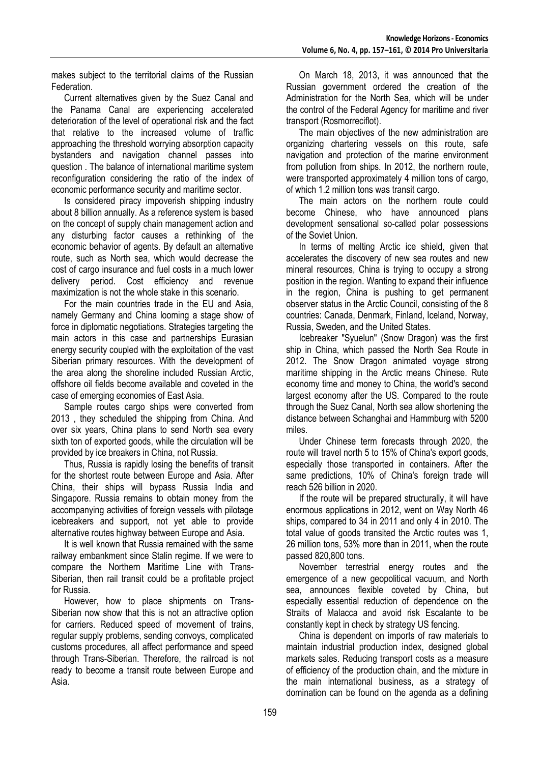makes subject to the territorial claims of the Russian Federation.

Current alternatives given by the Suez Canal and the Panama Canal are experiencing accelerated deterioration of the level of operational risk and the fact that relative to the increased volume of traffic approaching the threshold worrying absorption capacity bystanders and navigation channel passes into question . The balance of international maritime system reconfiguration considering the ratio of the index of economic performance security and maritime sector.

Is considered piracy impoverish shipping industry about 8 billion annually. As a reference system is based on the concept of supply chain management action and any disturbing factor causes a rethinking of the economic behavior of agents. By default an alternative route, such as North sea, which would decrease the cost of cargo insurance and fuel costs in a much lower delivery period. Cost efficiency and revenue maximization is not the whole stake in this scenario.

For the main countries trade in the EU and Asia, namely Germany and China looming a stage show of force in diplomatic negotiations. Strategies targeting the main actors in this case and partnerships Eurasian energy security coupled with the exploitation of the vast Siberian primary resources. With the development of the area along the shoreline included Russian Arctic, offshore oil fields become available and coveted in the case of emerging economies of East Asia.

Sample routes cargo ships were converted from 2013 , they scheduled the shipping from China. And over six years, China plans to send North sea every sixth ton of exported goods, while the circulation will be provided by ice breakers in China, not Russia.

Thus, Russia is rapidly losing the benefits of transit for the shortest route between Europe and Asia. After China, their ships will bypass Russia India and Singapore. Russia remains to obtain money from the accompanying activities of foreign vessels with pilotage icebreakers and support, not yet able to provide alternative routes highway between Europe and Asia.

It is well known that Russia remained with the same railway embankment since Stalin regime. If we were to compare the Northern Maritime Line with Trans-Siberian, then rail transit could be a profitable project for Russia.

However, how to place shipments on Trans-Siberian now show that this is not an attractive option for carriers. Reduced speed of movement of trains, regular supply problems, sending convoys, complicated customs procedures, all affect performance and speed through Trans-Siberian. Therefore, the railroad is not ready to become a transit route between Europe and Asia.

On March 18, 2013, it was announced that the Russian government ordered the creation of the Administration for the North Sea, which will be under the control of the Federal Agency for maritime and river transport (Rosmorreciflot).

The main objectives of the new administration are organizing chartering vessels on this route, safe navigation and protection of the marine environment from pollution from ships. In 2012, the northern route, were transported approximately 4 million tons of cargo, of which 1.2 million tons was transit cargo.

The main actors on the northern route could become Chinese, who have announced plans development sensational so-called polar possessions of the Soviet Union.

In terms of melting Arctic ice shield, given that accelerates the discovery of new sea routes and new mineral resources, China is trying to occupy a strong position in the region. Wanting to expand their influence in the region, China is pushing to get permanent observer status in the Arctic Council, consisting of the 8 countries: Canada, Denmark, Finland, Iceland, Norway, Russia, Sweden, and the United States.

Icebreaker "Syuelun" (Snow Dragon) was the first ship in China, which passed the North Sea Route in 2012. The Snow Dragon animated voyage strong maritime shipping in the Arctic means Chinese. Rute economy time and money to China, the world's second largest economy after the US. Compared to the route through the Suez Canal, North sea allow shortening the distance between Schanghai and Hammburg with 5200 miles.

Under Chinese term forecasts through 2020, the route will travel north 5 to 15% of China's export goods, especially those transported in containers. After the same predictions, 10% of China's foreign trade will reach 526 billion in 2020.

If the route will be prepared structurally, it will have enormous applications in 2012, went on Way North 46 ships, compared to 34 in 2011 and only 4 in 2010. The total value of goods transited the Arctic routes was 1, 26 million tons, 53% more than in 2011, when the route passed 820,800 tons.

November terrestrial energy routes and the emergence of a new geopolitical vacuum, and North sea, announces flexible coveted by China, but especially essential reduction of dependence on the Straits of Malacca and avoid risk Escalante to be constantly kept in check by strategy US fencing.

China is dependent on imports of raw materials to maintain industrial production index, designed global markets sales. Reducing transport costs as a measure of efficiency of the production chain, and the mixture in the main international business, as a strategy of domination can be found on the agenda as a defining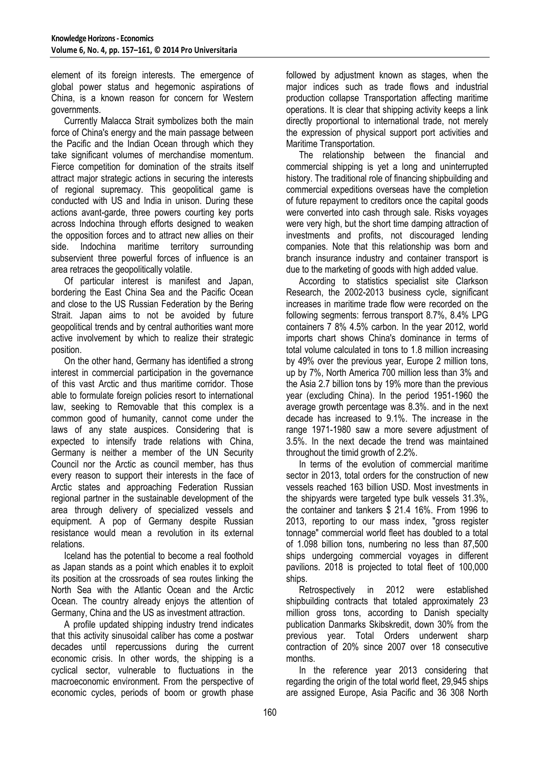element of its foreign interests. The emergence of global power status and hegemonic aspirations of China, is a known reason for concern for Western governments.

Currently Malacca Strait symbolizes both the main force of China's energy and the main passage between the Pacific and the Indian Ocean through which they take significant volumes of merchandise momentum. Fierce competition for domination of the straits itself attract major strategic actions in securing the interests of regional supremacy. This geopolitical game is conducted with US and India in unison. During these actions avant-garde, three powers courting key ports across Indochina through efforts designed to weaken the opposition forces and to attract new allies on their side. Indochina maritime territory surrounding subservient three powerful forces of influence is an area retraces the geopolitically volatile.

Of particular interest is manifest and Japan, bordering the East China Sea and the Pacific Ocean and close to the US Russian Federation by the Bering Strait. Japan aims to not be avoided by future geopolitical trends and by central authorities want more active involvement by which to realize their strategic position.

On the other hand, Germany has identified a strong interest in commercial participation in the governance of this vast Arctic and thus maritime corridor. Those able to formulate foreign policies resort to international law, seeking to Removable that this complex is a common good of humanity, cannot come under the laws of any state auspices. Considering that is expected to intensify trade relations with China, Germany is neither a member of the UN Security Council nor the Arctic as council member, has thus every reason to support their interests in the face of Arctic states and approaching Federation Russian regional partner in the sustainable development of the area through delivery of specialized vessels and equipment. A pop of Germany despite Russian resistance would mean a revolution in its external relations.

Iceland has the potential to become a real foothold as Japan stands as a point which enables it to exploit its position at the crossroads of sea routes linking the North Sea with the Atlantic Ocean and the Arctic Ocean. The country already enjoys the attention of Germany, China and the US as investment attraction.

A profile updated shipping industry trend indicates that this activity sinusoidal caliber has come a postwar decades until repercussions during the current economic crisis. In other words, the shipping is a cyclical sector, vulnerable to fluctuations in the macroeconomic environment. From the perspective of economic cycles, periods of boom or growth phase

followed by adjustment known as stages, when the major indices such as trade flows and industrial production collapse Transportation affecting maritime operations. It is clear that shipping activity keeps a link directly proportional to international trade, not merely the expression of physical support port activities and Maritime Transportation.

The relationship between the financial and commercial shipping is yet a long and uninterrupted history. The traditional role of financing shipbuilding and commercial expeditions overseas have the completion of future repayment to creditors once the capital goods were converted into cash through sale. Risks voyages were very high, but the short time damping attraction of investments and profits, not discouraged lending companies. Note that this relationship was born and branch insurance industry and container transport is due to the marketing of goods with high added value.

According to statistics specialist site Clarkson Research, the 2002-2013 business cycle, significant increases in maritime trade flow were recorded on the following segments: ferrous transport 8.7%, 8.4% LPG containers 7 8% 4.5% carbon. In the year 2012, world imports chart shows China's dominance in terms of total volume calculated in tons to 1.8 million increasing by 49% over the previous year, Europe 2 million tons, up by 7%, North America 700 million less than 3% and the Asia 2.7 billion tons by 19% more than the previous year (excluding China). In the period 1951-1960 the average growth percentage was 8.3%. and in the next decade has increased to 9.1%. The increase in the range 1971-1980 saw a more severe adjustment of 3.5%. In the next decade the trend was maintained throughout the timid growth of 2.2%.

In terms of the evolution of commercial maritime sector in 2013, total orders for the construction of new vessels reached 163 billion USD. Most investments in the shipyards were targeted type bulk vessels 31.3%, the container and tankers \$ 21.4 16%. From 1996 to 2013, reporting to our mass index, "gross register tonnage" commercial world fleet has doubled to a total of 1.098 billion tons, numbering no less than 87,500 ships undergoing commercial voyages in different pavilions. 2018 is projected to total fleet of 100,000 ships.

Retrospectively in 2012 were established shipbuilding contracts that totaled approximately 23 million gross tons, according to Danish specialty publication Danmarks Skibskredit, down 30% from the previous year. Total Orders underwent sharp contraction of 20% since 2007 over 18 consecutive months.

In the reference year 2013 considering that regarding the origin of the total world fleet, 29,945 ships are assigned Europe, Asia Pacific and 36 308 North